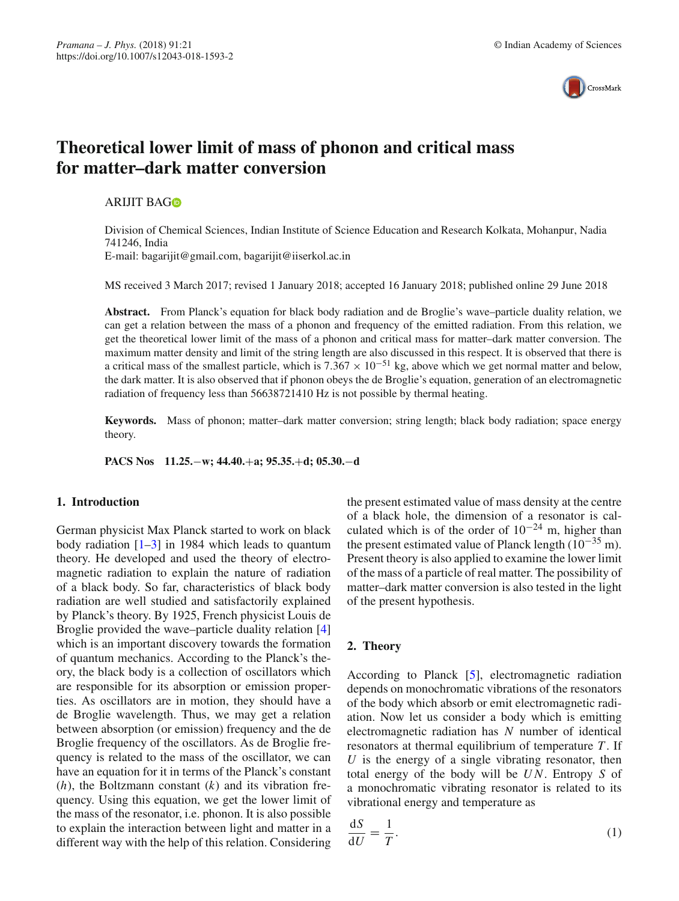

# **Theoretical lower limit of mass of phonon and critical mass for matter–dark matter conversion**

# ARIJIT BA[G](http://orcid.org/0000-0002-0177-9605)

Division of Chemical Sciences, Indian Institute of Science Education and Research Kolkata, Mohanpur, Nadia 741246, India

E-mail: bagarijit@gmail.com, bagarijit@iiserkol.ac.in

MS received 3 March 2017; revised 1 January 2018; accepted 16 January 2018; published online 29 June 2018

**Abstract.** From Planck's equation for black body radiation and de Broglie's wave–particle duality relation, we can get a relation between the mass of a phonon and frequency of the emitted radiation. From this relation, we get the theoretical lower limit of the mass of a phonon and critical mass for matter–dark matter conversion. The maximum matter density and limit of the string length are also discussed in this respect. It is observed that there is a critical mass of the smallest particle, which is  $7.367 \times 10^{-51}$  kg, above which we get normal matter and below, the dark matter. It is also observed that if phonon obeys the de Broglie's equation, generation of an electromagnetic radiation of frequency less than 56638721410 Hz is not possible by thermal heating.

**Keywords.** Mass of phonon; matter–dark matter conversion; string length; black body radiation; space energy theory.

**PACS Nos 11.25.**−**w; 44.40.**+**a; 95.35.**+**d; 05.30.**−**d**

### **1. Introduction**

German physicist Max Planck started to work on black body radiation  $[1-3]$  $[1-3]$  in 1984 which leads to quantum theory. He developed and used the theory of electromagnetic radiation to explain the nature of radiation of a black body. So far, characteristics of black body radiation are well studied and satisfactorily explained by Planck's theory. By 1925, French physicist Louis de Broglie provided the wave–particle duality relation [\[4\]](#page-5-2) which is an important discovery towards the formation of quantum mechanics. According to the Planck's theory, the black body is a collection of oscillators which are responsible for its absorption or emission properties. As oscillators are in motion, they should have a de Broglie wavelength. Thus, we may get a relation between absorption (or emission) frequency and the de Broglie frequency of the oscillators. As de Broglie frequency is related to the mass of the oscillator, we can have an equation for it in terms of the Planck's constant (*h*), the Boltzmann constant (*k*) and its vibration frequency. Using this equation, we get the lower limit of the mass of the resonator, i.e. phonon. It is also possible to explain the interaction between light and matter in a different way with the help of this relation. Considering

the present estimated value of mass density at the centre of a black hole, the dimension of a resonator is calculated which is of the order of  $10^{-24}$  m, higher than the present estimated value of Planck length  $(10^{-35} \text{ m})$ . Present theory is also applied to examine the lower limit of the mass of a particle of real matter. The possibility of matter–dark matter conversion is also tested in the light of the present hypothesis.

# **2. Theory**

d*S*

According to Planck [\[5](#page-5-3)], electromagnetic radiation depends on monochromatic vibrations of the resonators of the body which absorb or emit electromagnetic radiation. Now let us consider a body which is emitting electromagnetic radiation has *N* number of identical resonators at thermal equilibrium of temperature *T* . If *U* is the energy of a single vibrating resonator, then total energy of the body will be *U N*. Entropy *S* of a monochromatic vibrating resonator is related to its vibrational energy and temperature as

<span id="page-0-0"></span>
$$
\frac{\mathrm{d}S}{\mathrm{d}U} = \frac{1}{T}.\tag{1}
$$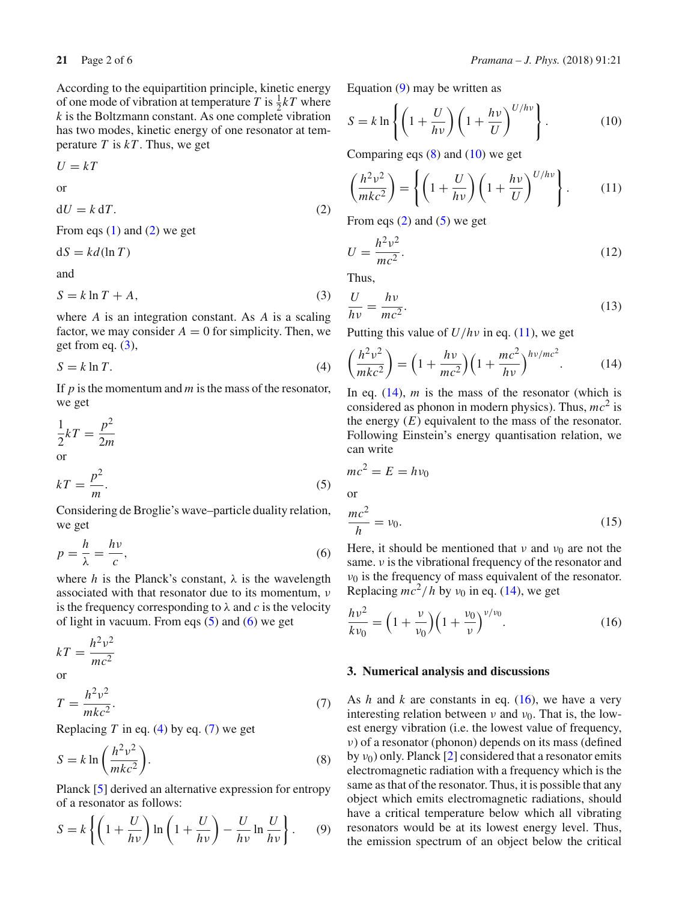According to the equipartition principle, kinetic energy of one mode of vibration at temperature *T* is  $\frac{1}{2}kT$  where *k* is the Boltzmann constant. As one complete vibration has two modes, kinetic energy of one resonator at temperature  $T$  is  $kT$ . Thus, we get

 $U = kT$ 

or

<span id="page-1-0"></span> $dU = k dT.$  (2)

From eqs  $(1)$  and  $(2)$  we get

 $dS = kd(\ln T)$ 

and

<span id="page-1-1"></span>
$$
S = k \ln T + A,\tag{3}
$$

where *A* is an integration constant. As *A* is a scaling factor, we may consider  $A = 0$  for simplicity. Then, we get from eq.  $(3)$ ,

<span id="page-1-4"></span>
$$
S = k \ln T. \tag{4}
$$

If *p* is the momentum and *m* is the mass of the resonator, we get

$$
\frac{1}{2}kT = \frac{p^2}{2m}
$$
  
or

<span id="page-1-2"></span>
$$
kT = \frac{p^2}{m}.
$$
 (5)

Considering de Broglie's wave–particle duality relation, we get

<span id="page-1-3"></span>
$$
p = \frac{h}{\lambda} = \frac{hv}{c},\tag{6}
$$

where *h* is the Planck's constant,  $\lambda$  is the wavelength associated with that resonator due to its momentum, ν is the frequency corresponding to  $\lambda$  and *c* is the velocity of light in vacuum. From eqs  $(5)$  and  $(6)$  we get

$$
kT = \frac{h^2 v^2}{mc^2}
$$
 or

<span id="page-1-5"></span>
$$
T = \frac{h^2 v^2}{mkc^2}.
$$
\n<sup>(7)</sup>

Replacing *T* in eq. [\(4\)](#page-1-4) by eq. [\(7\)](#page-1-5) we get

<span id="page-1-7"></span>
$$
S = k \ln \left( \frac{h^2 v^2}{mkc^2} \right).
$$
 (8)

Planck [\[5\]](#page-5-3) derived an alternative expression for entropy of a resonator as follows:

<span id="page-1-6"></span>
$$
S = k \left\{ \left( 1 + \frac{U}{h\nu} \right) \ln \left( 1 + \frac{U}{h\nu} \right) - \frac{U}{h\nu} \ln \frac{U}{h\nu} \right\}.
$$
 (9)

Equation [\(9\)](#page-1-6) may be written as

<span id="page-1-8"></span>
$$
S = k \ln \left\{ \left( 1 + \frac{U}{h\nu} \right) \left( 1 + \frac{h\nu}{U} \right)^{U/h\nu} \right\}.
$$
 (10)

Comparing eqs  $(8)$  and  $(10)$  we get

<span id="page-1-9"></span>
$$
\left(\frac{h^2v^2}{mkc^2}\right) = \left\{ \left(1 + \frac{U}{hv}\right) \left(1 + \frac{hv}{U}\right)^{U/hv} \right\}.
$$
 (11)

From eqs  $(2)$  and  $(5)$  we get

$$
U = \frac{h^2 v^2}{mc^2}.
$$
\n
$$
(12)
$$

Thus,

$$
\frac{U}{hv} = \frac{hv}{mc^2}.
$$
\n(13)

Putting this value of *U*/*h*ν in eq. [\(11\)](#page-1-9), we get

<span id="page-1-10"></span>
$$
\left(\frac{h^2v^2}{mkc^2}\right) = \left(1 + \frac{hv}{mc^2}\right)\left(1 + \frac{mc^2}{hv}\right)^{hv/mc^2}.
$$
 (14)

In eq. [\(14\)](#page-1-10), *m* is the mass of the resonator (which is considered as phonon in modern physics). Thus, *mc*<sup>2</sup> is the energy  $(E)$  equivalent to the mass of the resonator. Following Einstein's energy quantisation relation, we can write

$$
mc2 = E = hv0
$$
  
or  

$$
\frac{mc2}{h} = v0.
$$
 (15)

Here, it should be mentioned that  $\nu$  and  $\nu_0$  are not the same.  $\nu$  is the vibrational frequency of the resonator and  $v_0$  is the frequency of mass equivalent of the resonator. Replacing  $\vec{mc}^2/h$  by  $v_0$  in eq. [\(14\)](#page-1-10), we get

<span id="page-1-11"></span>
$$
\frac{hv^2}{kv_0} = \left(1 + \frac{v}{v_0}\right)\left(1 + \frac{v_0}{v}\right)^{v/v_0}.\tag{16}
$$

#### **3. Numerical analysis and discussions**

As *h* and *k* are constants in eq. [\(16\)](#page-1-11), we have a very interesting relation between  $\nu$  and  $\nu_0$ . That is, the lowest energy vibration (i.e. the lowest value of frequency, ν) of a resonator (phonon) depends on its mass (defined by  $v_0$ ) only. Planck [\[2](#page-5-4)] considered that a resonator emits electromagnetic radiation with a frequency which is the same as that of the resonator. Thus, it is possible that any object which emits electromagnetic radiations, should have a critical temperature below which all vibrating resonators would be at its lowest energy level. Thus, the emission spectrum of an object below the critical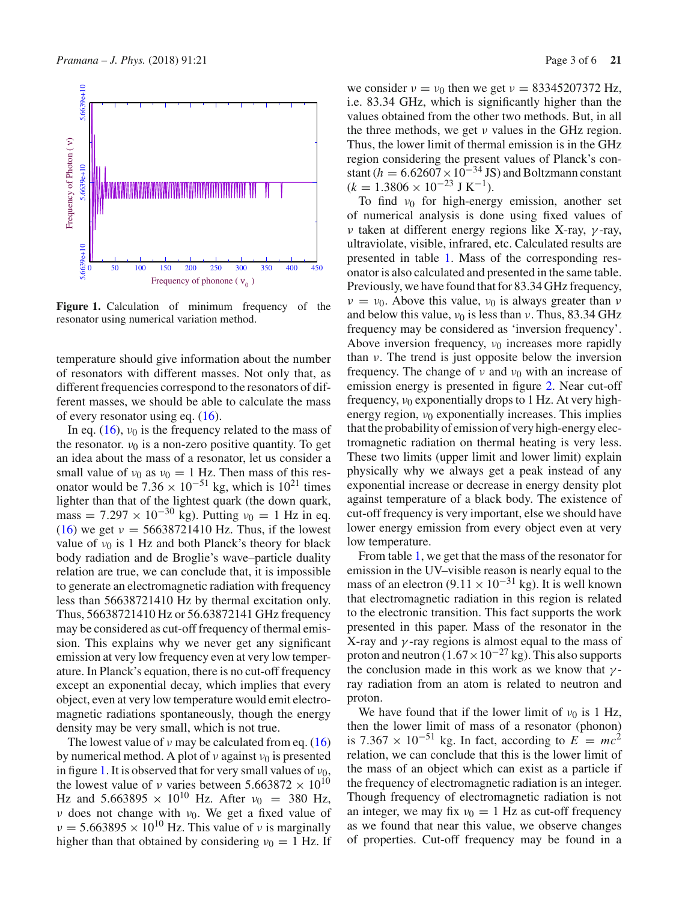

<span id="page-2-0"></span>**Figure 1.** Calculation of minimum frequency of the resonator using numerical variation method.

temperature should give information about the number of resonators with different masses. Not only that, as different frequencies correspond to the resonators of different masses, we should be able to calculate the mass of every resonator using eq.  $(16)$ .

In eq. [\(16\)](#page-1-11),  $v_0$  is the frequency related to the mass of the resonator.  $v_0$  is a non-zero positive quantity. To get an idea about the mass of a resonator, let us consider a small value of  $v_0$  as  $v_0 = 1$  Hz. Then mass of this resonator would be  $7.36 \times 10^{-51}$  kg, which is  $10^{21}$  times lighter than that of the lightest quark (the down quark, mass = 7.297 × 10<sup>-30</sup> kg). Putting  $v_0 = 1$  Hz in eq. [\(16\)](#page-1-11) we get  $v = 56638721410$  Hz. Thus, if the lowest value of  $v_0$  is 1 Hz and both Planck's theory for black body radiation and de Broglie's wave–particle duality relation are true, we can conclude that, it is impossible to generate an electromagnetic radiation with frequency less than 56638721410 Hz by thermal excitation only. Thus, 56638721410 Hz or 56.63872141 GHz frequency may be considered as cut-off frequency of thermal emission. This explains why we never get any significant emission at very low frequency even at very low temperature. In Planck's equation, there is no cut-off frequency except an exponential decay, which implies that every object, even at very low temperature would emit electromagnetic radiations spontaneously, though the energy density may be very small, which is not true.

The lowest value of  $\nu$  may be calculated from eq. [\(16\)](#page-1-11) by numerical method. A plot of  $\nu$  against  $\nu_0$  is presented in figure [1.](#page-2-0) It is observed that for very small values of  $v_0$ , the lowest value of *ν* varies between 5.663872  $\times$  10<sup>10</sup> Hz and 5.663895  $\times$  10<sup>10</sup> Hz. After  $v_0$  = 380 Hz, ν does not change with  $ν_0$ . We get a fixed value of  $v = 5.663895 \times 10^{10}$  Hz. This value of v is marginally higher than that obtained by considering  $v_0 = 1$  Hz. If

we consider  $v = v_0$  then we get  $v = 83345207372$  Hz, i.e. 83.34 GHz, which is significantly higher than the values obtained from the other two methods. But, in all the three methods, we get ν values in the GHz region. Thus, the lower limit of thermal emission is in the GHz region considering the present values of Planck's constant ( $h = 6.62607 \times 10^{-34}$  JS) and Boltzmann constant  $(k = 1.3806 \times 10^{-23} \text{ J K}^{-1}).$ 

To find  $v_0$  for high-energy emission, another set of numerical analysis is done using fixed values of ν taken at different energy regions like X-ray, γ -ray, ultraviolate, visible, infrared, etc. Calculated results are presented in table [1.](#page-3-0) Mass of the corresponding resonator is also calculated and presented in the same table. Previously, we have found that for 83.34 GHz frequency,  $\nu = \nu_0$ . Above this value,  $\nu_0$  is always greater than  $\nu$ and below this value,  $v_0$  is less than v. Thus, 83.34 GHz frequency may be considered as 'inversion frequency'. Above inversion frequency,  $v_0$  increases more rapidly than  $\nu$ . The trend is just opposite below the inversion frequency. The change of  $\nu$  and  $\nu_0$  with an increase of emission energy is presented in figure [2.](#page-3-1) Near cut-off frequency,  $v_0$  exponentially drops to 1 Hz. At very highenergy region,  $v_0$  exponentially increases. This implies that the probability of emission of very high-energy electromagnetic radiation on thermal heating is very less. These two limits (upper limit and lower limit) explain physically why we always get a peak instead of any exponential increase or decrease in energy density plot against temperature of a black body. The existence of cut-off frequency is very important, else we should have lower energy emission from every object even at very low temperature.

From table [1,](#page-3-0) we get that the mass of the resonator for emission in the UV–visible reason is nearly equal to the mass of an electron (9.11  $\times$  10<sup>-31</sup> kg). It is well known that electromagnetic radiation in this region is related to the electronic transition. This fact supports the work presented in this paper. Mass of the resonator in the X-ray and  $\gamma$ -ray regions is almost equal to the mass of proton and neutron  $(1.67 \times 10^{-27} \text{ kg})$ . This also supports the conclusion made in this work as we know that  $\gamma$ ray radiation from an atom is related to neutron and proton.

We have found that if the lower limit of  $v_0$  is 1 Hz, then the lower limit of mass of a resonator (phonon) is 7.367  $\times$  10<sup>-51</sup> kg. In fact, according to  $E = mc^2$ relation, we can conclude that this is the lower limit of the mass of an object which can exist as a particle if the frequency of electromagnetic radiation is an integer. Though frequency of electromagnetic radiation is not an integer, we may fix  $v_0 = 1$  Hz as cut-off frequency as we found that near this value, we observe changes of properties. Cut-off frequency may be found in a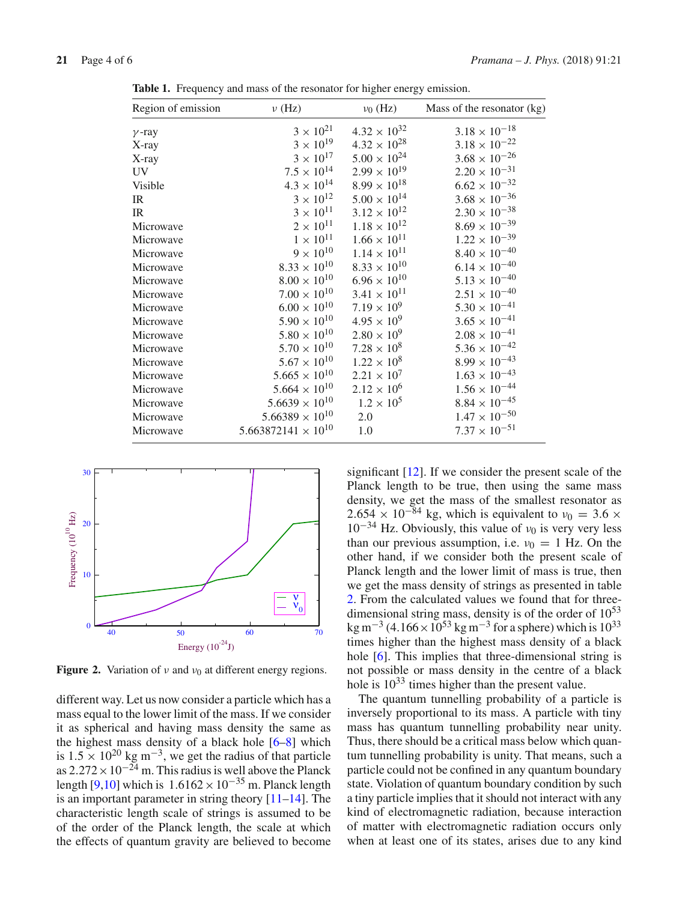| Region of emission | $\nu$ (Hz)                   | $v_0$ (Hz)            | Mass of the resonator (kg) |
|--------------------|------------------------------|-----------------------|----------------------------|
| $\gamma$ -ray      | $3 \times 10^{21}$           | $4.32 \times 10^{32}$ | $3.18 \times 10^{-18}$     |
| X-ray              | $3\times10^{19}$             | $4.32 \times 10^{28}$ | $3.18 \times 10^{-22}$     |
| X-ray              | $3\times10^{17}$             | $5.00 \times 10^{24}$ | $3.68\times10^{-26}$       |
| UV                 | $7.5 \times 10^{14}$         | $2.99 \times 10^{19}$ | $2.20\times10^{-31}$       |
| Visible            | $4.3\times10^{14}$           | $8.99 \times 10^{18}$ | $6.62\times10^{-32}$       |
| IR                 | $3 \times 10^{12}$           | $5.00\times10^{14}$   | $3.68\times10^{-36}$       |
| IR                 | $3\times10^{11}$             | $3.12\times10^{12}$   | $2.30\times10^{-38}$       |
| Microwave          | $2 \times 10^{11}$           | $1.18 \times 10^{12}$ | $8.69\times10^{-39}$       |
| Microwave          | $1\times10^{11}$             | $1.66\times10^{11}$   | $1.22\times10^{-39}$       |
| Microwave          | $9\times10^{10}$             | $1.14 \times 10^{11}$ | $8.40 \times 10^{-40}$     |
| Microwave          | $8.33 \times 10^{10}$        | $8.33 \times 10^{10}$ | $6.14 \times 10^{-40}$     |
| Microwave          | $8.00\times10^{10}$          | $6.96 \times 10^{10}$ | $5.13\times10^{-40}$       |
| Microwave          | $7.00 \times 10^{10}$        | $3.41 \times 10^{11}$ | $2.51\times10^{-40}$       |
| Microwave          | $6.00\times10^{10}$          | $7.19 \times 10^{9}$  | $5.30\times10^{-41}$       |
| Microwave          | $5.90 \times 10^{10}$        | $4.95 \times 10^{9}$  | $3.65 \times 10^{-41}$     |
| Microwave          | $5.80\times10^{10}$          | $2.80 \times 10^{9}$  | $2.08\times10^{-41}$       |
| Microwave          | $5.70 \times 10^{10}$        | $7.28 \times 10^8$    | $5.36\times10^{-42}$       |
| Microwave          | $5.67\times10^{10}$          | $1.22 \times 10^8$    | $8.99\times10^{-43}$       |
| Microwave          | $5.665 \times 10^{10}$       | $2.21 \times 10^{7}$  | $1.63 \times 10^{-43}$     |
| Microwave          | $5.664 \times 10^{10}$       | $2.12 \times 10^{6}$  | $1.56\times10^{-44}$       |
| Microwave          | $5.6639 \times 10^{10}$      | $1.2 \times 10^5$     | $8.84\times10^{-45}$       |
| Microwave          | $5.66389 \times 10^{10}$     | 2.0                   | $1.47 \times 10^{-50}$     |
| Microwave          | $5.663872141 \times 10^{10}$ | 1.0                   | $7.37 \times 10^{-51}$     |
|                    |                              |                       |                            |

<span id="page-3-0"></span>**Table 1.** Frequency and mass of the resonator for higher energy emission.



<span id="page-3-1"></span>**Figure 2.** Variation of  $\nu$  and  $\nu_0$  at different energy regions.

different way. Let us now consider a particle which has a mass equal to the lower limit of the mass. If we consider it as spherical and having mass density the same as the highest mass density of a black hole [\[6](#page-5-5)[–8](#page-5-6)] which is  $1.5 \times 10^{20}$  kg m<sup>-3</sup>, we get the radius of that particle as  $2.272 \times 10^{-24}$  m. This radius is well above the Planck length [\[9](#page-5-7)[,10\]](#page-5-8) which is  $1.6162 \times 10^{-35}$  m. Planck length is an important parameter in string theory  $[11-14]$  $[11-14]$ . The characteristic length scale of strings is assumed to be of the order of the Planck length, the scale at which the effects of quantum gravity are believed to become

significant [\[12\]](#page-5-11). If we consider the present scale of the Planck length to be true, then using the same mass density, we get the mass of the smallest resonator as  $2.654 \times 10^{-84}$  kg, which is equivalent to  $v_0 = 3.6 \times 10^{-34}$  $10^{-34}$  Hz. Obviously, this value of  $v_0$  is very very less than our previous assumption, i.e.  $v_0 = 1$  Hz. On the other hand, if we consider both the present scale of Planck length and the lower limit of mass is true, then we get the mass density of strings as presented in table [2.](#page-4-0) From the calculated values we found that for threedimensional string mass, density is of the order of  $10^{53}$ kg m<sup>-3</sup> (4.166 × 10<sup>53</sup> kg m<sup>-3</sup> for a sphere) which is 10<sup>33</sup> times higher than the highest mass density of a black hole [\[6](#page-5-5)]. This implies that three-dimensional string is not possible or mass density in the centre of a black hole is  $10^{33}$  times higher than the present value.

The quantum tunnelling probability of a particle is inversely proportional to its mass. A particle with tiny mass has quantum tunnelling probability near unity. Thus, there should be a critical mass below which quantum tunnelling probability is unity. That means, such a particle could not be confined in any quantum boundary state. Violation of quantum boundary condition by such a tiny particle implies that it should not interact with any kind of electromagnetic radiation, because interaction of matter with electromagnetic radiation occurs only when at least one of its states, arises due to any kind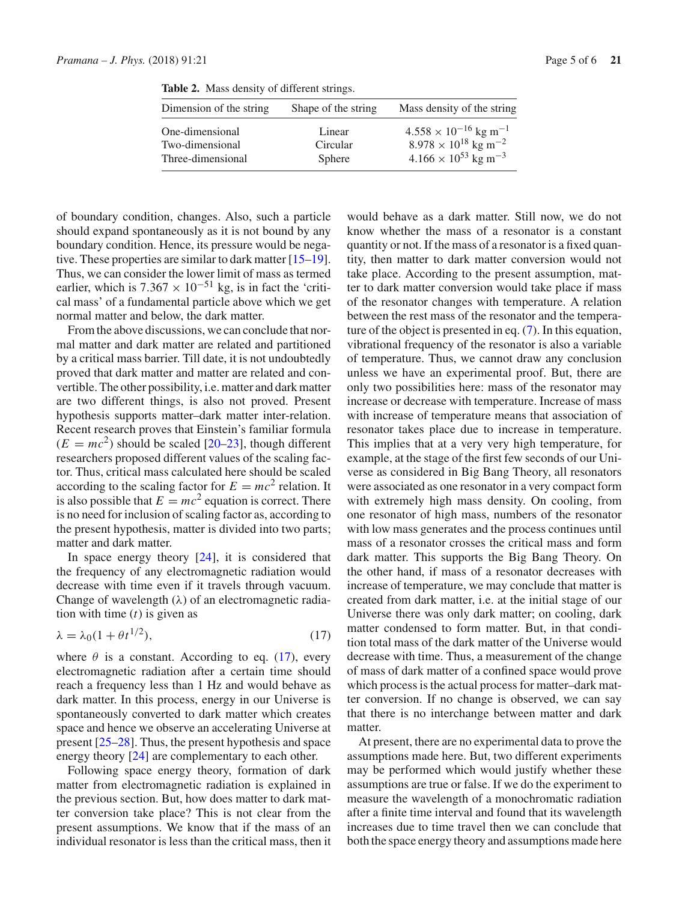<span id="page-4-0"></span>

| Dimension of the string | Shape of the string | Mass density of the string                 |
|-------------------------|---------------------|--------------------------------------------|
| One-dimensional         | Linear              | $4.558 \times 10^{-16}$ kg m <sup>-1</sup> |
| Two-dimensional         | Circular            | $8.978 \times 10^{18}$ kg m <sup>-2</sup>  |
| Three-dimensional       | Sphere              | $4.166 \times 10^{53}$ kg m <sup>-3</sup>  |

**Table 2.** Mass density of different strings.

of boundary condition, changes. Also, such a particle should expand spontaneously as it is not bound by any boundary condition. Hence, its pressure would be negative. These properties are similar to dark matter [\[15](#page-5-12)[–19](#page-5-13)]. Thus, we can consider the lower limit of mass as termed earlier, which is  $7.367 \times 10^{-51}$  kg, is in fact the 'critical mass' of a fundamental particle above which we get normal matter and below, the dark matter.

From the above discussions, we can conclude that normal matter and dark matter are related and partitioned by a critical mass barrier. Till date, it is not undoubtedly proved that dark matter and matter are related and convertible. The other possibility, i.e. matter and dark matter are two different things, is also not proved. Present hypothesis supports matter–dark matter inter-relation. Recent research proves that Einstein's familiar formula  $(E = mc^2)$  should be scaled [\[20](#page-5-14)[–23\]](#page-5-15), though different researchers proposed different values of the scaling factor. Thus, critical mass calculated here should be scaled according to the scaling factor for  $E = mc^2$  relation. It is also possible that  $E = mc^2$  equation is correct. There is no need for inclusion of scaling factor as, according to the present hypothesis, matter is divided into two parts; matter and dark matter.

In space energy theory [\[24\]](#page-5-16), it is considered that the frequency of any electromagnetic radiation would decrease with time even if it travels through vacuum. Change of wavelength  $(\lambda)$  of an electromagnetic radiation with time (*t*) is given as

<span id="page-4-1"></span>
$$
\lambda = \lambda_0 (1 + \theta t^{1/2}),\tag{17}
$$

where  $\theta$  is a constant. According to eq. [\(17\)](#page-4-1), every electromagnetic radiation after a certain time should reach a frequency less than 1 Hz and would behave as dark matter. In this process, energy in our Universe is spontaneously converted to dark matter which creates space and hence we observe an accelerating Universe at present [\[25](#page-5-17)[–28](#page-5-18)]. Thus, the present hypothesis and space energy theory [\[24](#page-5-16)] are complementary to each other.

Following space energy theory, formation of dark matter from electromagnetic radiation is explained in the previous section. But, how does matter to dark matter conversion take place? This is not clear from the present assumptions. We know that if the mass of an individual resonator is less than the critical mass, then it would behave as a dark matter. Still now, we do not know whether the mass of a resonator is a constant quantity or not. If the mass of a resonator is a fixed quantity, then matter to dark matter conversion would not take place. According to the present assumption, matter to dark matter conversion would take place if mass of the resonator changes with temperature. A relation between the rest mass of the resonator and the temperature of the object is presented in eq. [\(7\)](#page-1-5). In this equation, vibrational frequency of the resonator is also a variable of temperature. Thus, we cannot draw any conclusion unless we have an experimental proof. But, there are only two possibilities here: mass of the resonator may increase or decrease with temperature. Increase of mass with increase of temperature means that association of resonator takes place due to increase in temperature. This implies that at a very very high temperature, for example, at the stage of the first few seconds of our Universe as considered in Big Bang Theory, all resonators were associated as one resonator in a very compact form with extremely high mass density. On cooling, from one resonator of high mass, numbers of the resonator with low mass generates and the process continues until mass of a resonator crosses the critical mass and form dark matter. This supports the Big Bang Theory. On the other hand, if mass of a resonator decreases with increase of temperature, we may conclude that matter is created from dark matter, i.e. at the initial stage of our Universe there was only dark matter; on cooling, dark matter condensed to form matter. But, in that condition total mass of the dark matter of the Universe would decrease with time. Thus, a measurement of the change of mass of dark matter of a confined space would prove which process is the actual process for matter–dark matter conversion. If no change is observed, we can say that there is no interchange between matter and dark matter.

At present, there are no experimental data to prove the assumptions made here. But, two different experiments may be performed which would justify whether these assumptions are true or false. If we do the experiment to measure the wavelength of a monochromatic radiation after a finite time interval and found that its wavelength increases due to time travel then we can conclude that both the space energy theory and assumptions made here